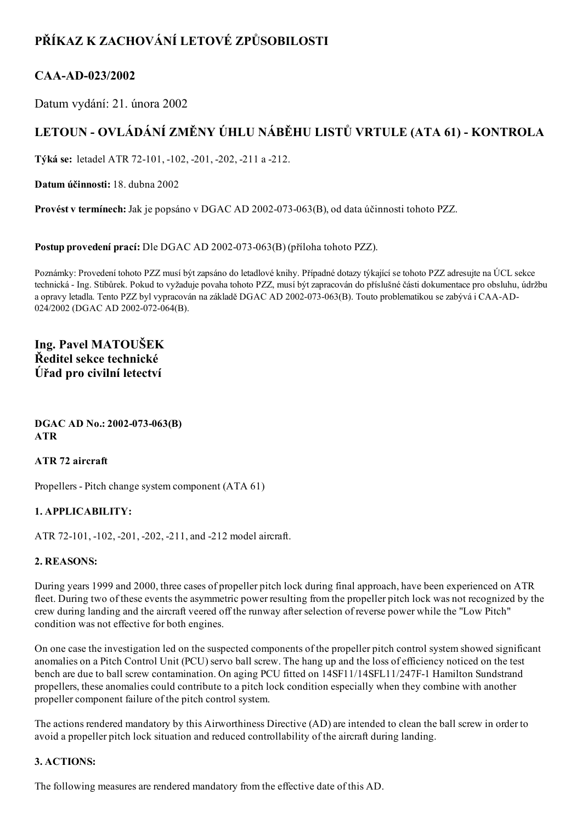# PŘÍKAZ K ZACHOVÁNÍ LETOVÉ ZPŮSOBILOSTI

### CAA-AD-023/2002

Datum vydání: 21. února 2002

# LETOUN - OVLÁDÁNÍ ZMĚNY ÚHLU NÁBĚHU LISTŮ VRTULE (ATA 61) - KONTROLA

Týká se: letadel ATR 72101, 102, 201, 202, 211 a 212.

Datum účinnosti: 18. dubna 2002

Provést v termínech: Jak je popsáno v DGAC AD 2002-073-063(B), od data účinnosti tohoto PZZ.

Postup provedení prací: Dle DGAC AD 2002-073-063(B) (příloha tohoto PZZ).

Poznámky: Provedení tohoto PZZ musí být zapsáno do letadlové knihy. Případné dotazy týkající se tohoto PZZ adresujte na ÚCL sekce technická Ing. Stibůrek. Pokud to vyžaduje povaha tohoto PZZ, musí být zapracován do příslušné části dokumentace pro obsluhu, údržbu a opravy letadla. Tento PZZ byl vypracován na základě DGAC AD 2002-073-063(B). Touto problematikou se zabývá i CAA-AD-024/2002 (DGAC AD 2002-072-064(B).

### Ing. Pavel MATOUŠEK Ředitel sekce technické Úřad pro civilní letectví

#### DGAC AD No.: 2002-073-063(B) ATR

#### ATR 72 aircraft

Propellers - Pitch change system component (ATA 61)

#### 1. APPLICABILITY:

ATR 72-101, -102, -201, -202, -211, and -212 model aircraft.

#### 2. REASONS:

During years 1999 and 2000, three cases of propeller pitch lock during final approach, have been experienced on ATR fleet. During two of these events the asymmetric power resulting from the propeller pitch lock was not recognized by the crew during landing and the aircraft veered off the runway afterselection of reverse power while the "Low Pitch" condition was not effective for both engines.

On one case the investigation led on the suspected components of the propeller pitch control system showed significant anomalies on a Pitch Control Unit (PCU) servo ball screw. The hang up and the loss of efficiency noticed on the test bench are due to ball screw contamination. On aging PCU fitted on 14SF11/14SFL11/247F-1 Hamilton Sundstrand propellers, these anomalies could contribute to a pitch lock condition especially when they combine with another propeller component failure of the pitch control system.

The actions rendered mandatory by this Airworthiness Directive (AD) are intended to clean the ball screw in order to avoid a propeller pitch lock situation and reduced controllability of the aircraft during landing.

#### 3. ACTIONS:

The following measures are rendered mandatory from the effective date of this AD.